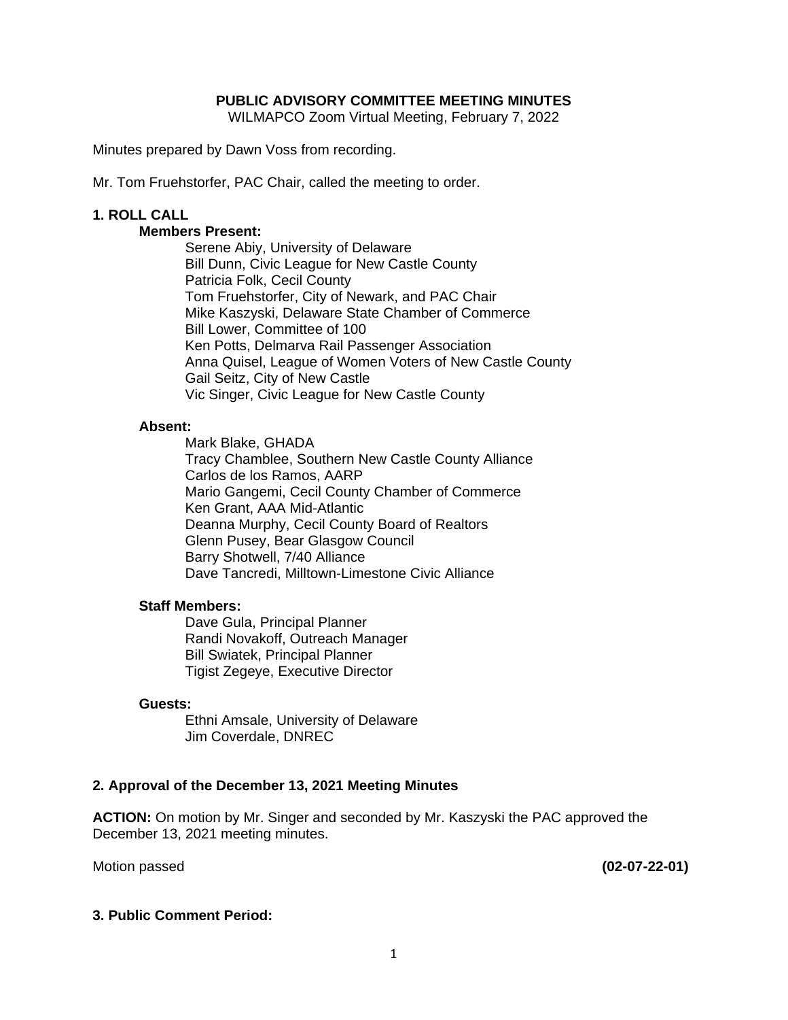### **PUBLIC ADVISORY COMMITTEE MEETING MINUTES**

WILMAPCO Zoom Virtual Meeting, February 7, 2022

Minutes prepared by Dawn Voss from recording.

Mr. Tom Fruehstorfer, PAC Chair, called the meeting to order.

### **1. ROLL CALL**

### **Members Present:**

Serene Abiy, University of Delaware Bill Dunn, Civic League for New Castle County Patricia Folk, Cecil County Tom Fruehstorfer, City of Newark, and PAC Chair Mike Kaszyski, Delaware State Chamber of Commerce Bill Lower, Committee of 100 Ken Potts, Delmarva Rail Passenger Association Anna Quisel, League of Women Voters of New Castle County Gail Seitz, City of New Castle Vic Singer, Civic League for New Castle County

#### **Absent:**

Mark Blake, GHADA Tracy Chamblee, Southern New Castle County Alliance Carlos de los Ramos, AARP Mario Gangemi, Cecil County Chamber of Commerce Ken Grant, AAA Mid-Atlantic Deanna Murphy, Cecil County Board of Realtors Glenn Pusey, Bear Glasgow Council Barry Shotwell, 7/40 Alliance Dave Tancredi, Milltown-Limestone Civic Alliance

#### **Staff Members:**

Dave Gula, Principal Planner Randi Novakoff, Outreach Manager Bill Swiatek, Principal Planner Tigist Zegeye, Executive Director

#### **Guests:**

 Ethni Amsale, University of Delaware Jim Coverdale, DNREC

### **2. Approval of the December 13, 2021 Meeting Minutes**

**ACTION:** On motion by Mr. Singer and seconded by Mr. Kaszyski the PAC approved the December 13, 2021 meeting minutes.

Motion passed **(02-07-22-01)** 

### **3. Public Comment Period:**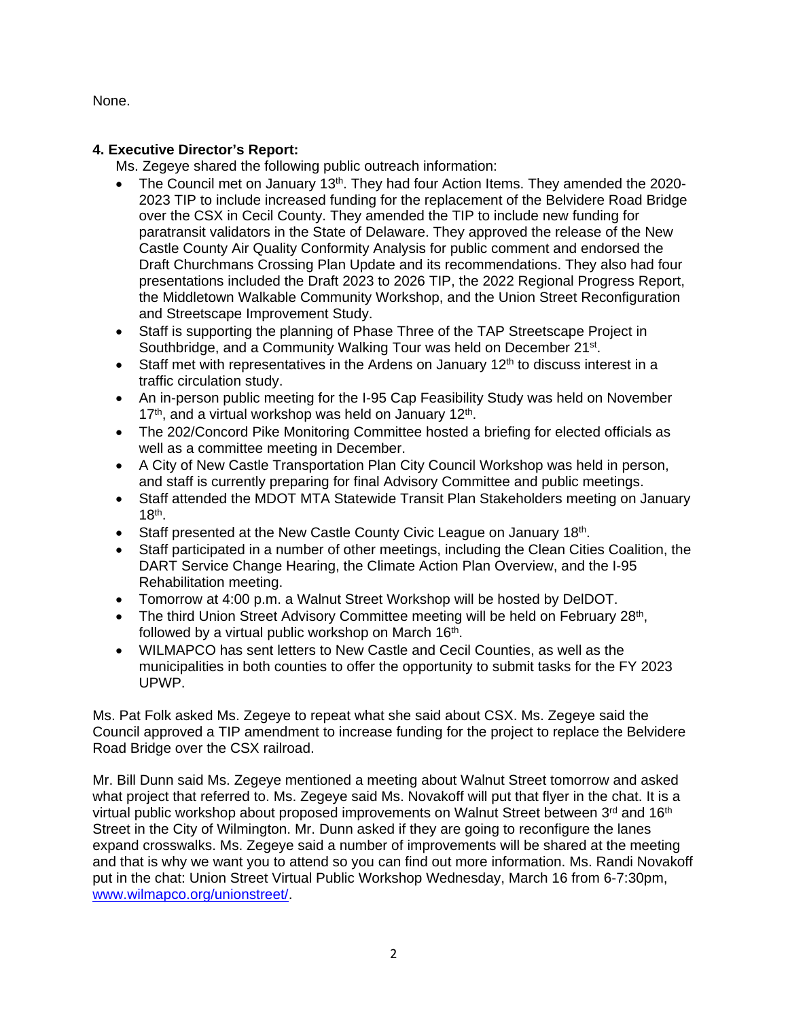None.

# **4. Executive Director's Report:**

Ms. Zegeye shared the following public outreach information:

- The Council met on January 13<sup>th</sup>. They had four Action Items. They amended the 2020-2023 TIP to include increased funding for the replacement of the Belvidere Road Bridge over the CSX in Cecil County. They amended the TIP to include new funding for paratransit validators in the State of Delaware. They approved the release of the New Castle County Air Quality Conformity Analysis for public comment and endorsed the Draft Churchmans Crossing Plan Update and its recommendations. They also had four presentations included the Draft 2023 to 2026 TIP, the 2022 Regional Progress Report, the Middletown Walkable Community Workshop, and the Union Street Reconfiguration and Streetscape Improvement Study.
- Staff is supporting the planning of Phase Three of the TAP Streetscape Project in Southbridge, and a Community Walking Tour was held on December 21<sup>st</sup>.
- Staff met with representatives in the Ardens on January  $12<sup>th</sup>$  to discuss interest in a traffic circulation study.
- An in-person public meeting for the I-95 Cap Feasibility Study was held on November 17<sup>th</sup>, and a virtual workshop was held on January 12<sup>th</sup>.
- The 202/Concord Pike Monitoring Committee hosted a briefing for elected officials as well as a committee meeting in December.
- A City of New Castle Transportation Plan City Council Workshop was held in person, and staff is currently preparing for final Advisory Committee and public meetings.
- Staff attended the MDOT MTA Statewide Transit Plan Stakeholders meeting on January  $18<sup>th</sup>$ .
- Staff presented at the New Castle County Civic League on January 18th.
- Staff participated in a number of other meetings, including the Clean Cities Coalition, the DART Service Change Hearing, the Climate Action Plan Overview, and the I-95 Rehabilitation meeting.
- Tomorrow at 4:00 p.m. a Walnut Street Workshop will be hosted by DelDOT.
- The third Union Street Advisory Committee meeting will be held on February 28<sup>th</sup>, followed by a virtual public workshop on March  $16<sup>th</sup>$ .
- WILMAPCO has sent letters to New Castle and Cecil Counties, as well as the municipalities in both counties to offer the opportunity to submit tasks for the FY 2023 UPWP.

Ms. Pat Folk asked Ms. Zegeye to repeat what she said about CSX. Ms. Zegeye said the Council approved a TIP amendment to increase funding for the project to replace the Belvidere Road Bridge over the CSX railroad.

Mr. Bill Dunn said Ms. Zegeye mentioned a meeting about Walnut Street tomorrow and asked what project that referred to. Ms. Zegeye said Ms. Novakoff will put that flyer in the chat. It is a virtual public workshop about proposed improvements on Walnut Street between  $3<sup>rd</sup>$  and  $16<sup>th</sup>$ Street in the City of Wilmington. Mr. Dunn asked if they are going to reconfigure the lanes expand crosswalks. Ms. Zegeye said a number of improvements will be shared at the meeting and that is why we want you to attend so you can find out more information. Ms. Randi Novakoff put in the chat: Union Street Virtual Public Workshop Wednesday, March 16 from 6-7:30pm, www.wilmapco.org/unionstreet/.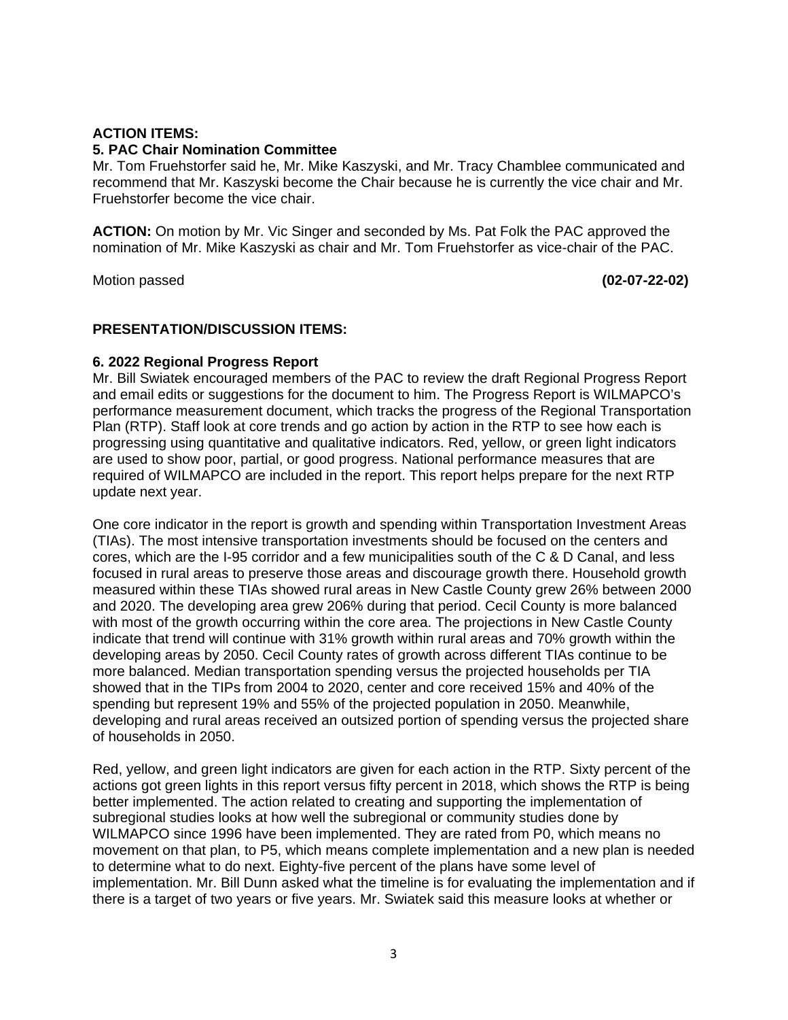## **ACTION ITEMS:**

#### **5. PAC Chair Nomination Committee**

Mr. Tom Fruehstorfer said he, Mr. Mike Kaszyski, and Mr. Tracy Chamblee communicated and recommend that Mr. Kaszyski become the Chair because he is currently the vice chair and Mr. Fruehstorfer become the vice chair.

**ACTION:** On motion by Mr. Vic Singer and seconded by Ms. Pat Folk the PAC approved the nomination of Mr. Mike Kaszyski as chair and Mr. Tom Fruehstorfer as vice-chair of the PAC.

Motion passed **(02-07-22-02)** 

### **PRESENTATION/DISCUSSION ITEMS:**

### **6. 2022 Regional Progress Report**

Mr. Bill Swiatek encouraged members of the PAC to review the draft Regional Progress Report and email edits or suggestions for the document to him. The Progress Report is WILMAPCO's performance measurement document, which tracks the progress of the Regional Transportation Plan (RTP). Staff look at core trends and go action by action in the RTP to see how each is progressing using quantitative and qualitative indicators. Red, yellow, or green light indicators are used to show poor, partial, or good progress. National performance measures that are required of WILMAPCO are included in the report. This report helps prepare for the next RTP update next year.

One core indicator in the report is growth and spending within Transportation Investment Areas (TIAs). The most intensive transportation investments should be focused on the centers and cores, which are the I-95 corridor and a few municipalities south of the C & D Canal, and less focused in rural areas to preserve those areas and discourage growth there. Household growth measured within these TIAs showed rural areas in New Castle County grew 26% between 2000 and 2020. The developing area grew 206% during that period. Cecil County is more balanced with most of the growth occurring within the core area. The projections in New Castle County indicate that trend will continue with 31% growth within rural areas and 70% growth within the developing areas by 2050. Cecil County rates of growth across different TIAs continue to be more balanced. Median transportation spending versus the projected households per TIA showed that in the TIPs from 2004 to 2020, center and core received 15% and 40% of the spending but represent 19% and 55% of the projected population in 2050. Meanwhile, developing and rural areas received an outsized portion of spending versus the projected share of households in 2050.

Red, yellow, and green light indicators are given for each action in the RTP. Sixty percent of the actions got green lights in this report versus fifty percent in 2018, which shows the RTP is being better implemented. The action related to creating and supporting the implementation of subregional studies looks at how well the subregional or community studies done by WILMAPCO since 1996 have been implemented. They are rated from P0, which means no movement on that plan, to P5, which means complete implementation and a new plan is needed to determine what to do next. Eighty-five percent of the plans have some level of implementation. Mr. Bill Dunn asked what the timeline is for evaluating the implementation and if there is a target of two years or five years. Mr. Swiatek said this measure looks at whether or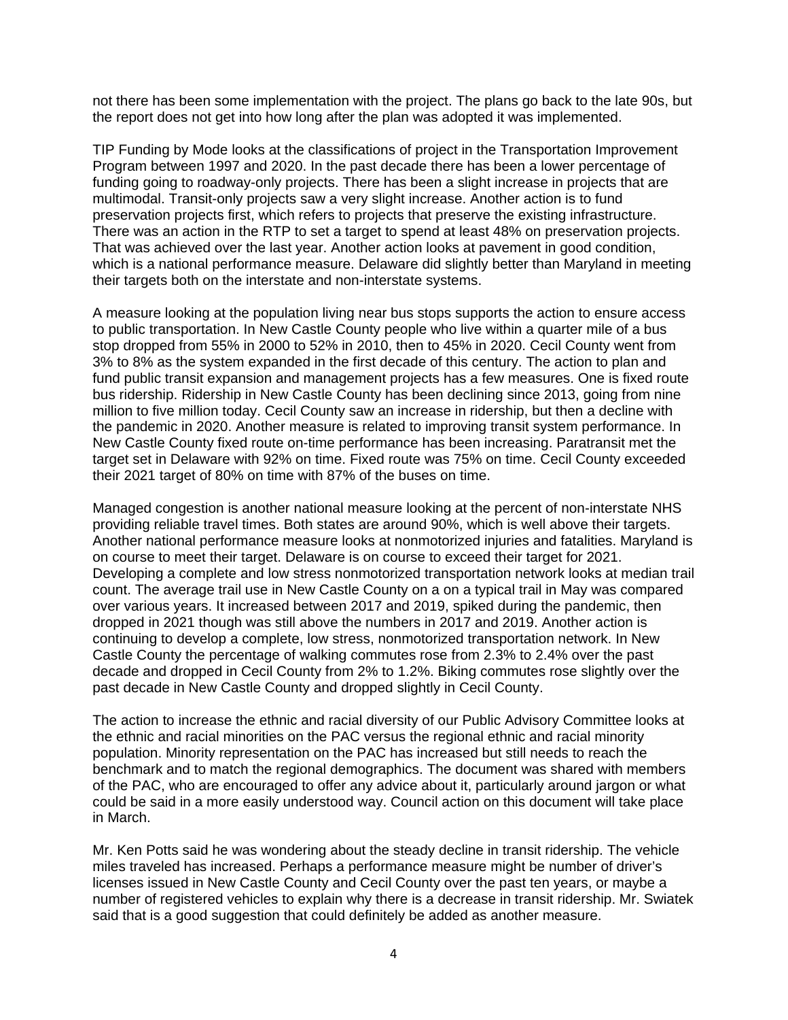not there has been some implementation with the project. The plans go back to the late 90s, but the report does not get into how long after the plan was adopted it was implemented.

TIP Funding by Mode looks at the classifications of project in the Transportation Improvement Program between 1997 and 2020. In the past decade there has been a lower percentage of funding going to roadway-only projects. There has been a slight increase in projects that are multimodal. Transit-only projects saw a very slight increase. Another action is to fund preservation projects first, which refers to projects that preserve the existing infrastructure. There was an action in the RTP to set a target to spend at least 48% on preservation projects. That was achieved over the last year. Another action looks at pavement in good condition, which is a national performance measure. Delaware did slightly better than Maryland in meeting their targets both on the interstate and non-interstate systems.

A measure looking at the population living near bus stops supports the action to ensure access to public transportation. In New Castle County people who live within a quarter mile of a bus stop dropped from 55% in 2000 to 52% in 2010, then to 45% in 2020. Cecil County went from 3% to 8% as the system expanded in the first decade of this century. The action to plan and fund public transit expansion and management projects has a few measures. One is fixed route bus ridership. Ridership in New Castle County has been declining since 2013, going from nine million to five million today. Cecil County saw an increase in ridership, but then a decline with the pandemic in 2020. Another measure is related to improving transit system performance. In New Castle County fixed route on-time performance has been increasing. Paratransit met the target set in Delaware with 92% on time. Fixed route was 75% on time. Cecil County exceeded their 2021 target of 80% on time with 87% of the buses on time.

Managed congestion is another national measure looking at the percent of non-interstate NHS providing reliable travel times. Both states are around 90%, which is well above their targets. Another national performance measure looks at nonmotorized injuries and fatalities. Maryland is on course to meet their target. Delaware is on course to exceed their target for 2021. Developing a complete and low stress nonmotorized transportation network looks at median trail count. The average trail use in New Castle County on a on a typical trail in May was compared over various years. It increased between 2017 and 2019, spiked during the pandemic, then dropped in 2021 though was still above the numbers in 2017 and 2019. Another action is continuing to develop a complete, low stress, nonmotorized transportation network. In New Castle County the percentage of walking commutes rose from 2.3% to 2.4% over the past decade and dropped in Cecil County from 2% to 1.2%. Biking commutes rose slightly over the past decade in New Castle County and dropped slightly in Cecil County.

The action to increase the ethnic and racial diversity of our Public Advisory Committee looks at the ethnic and racial minorities on the PAC versus the regional ethnic and racial minority population. Minority representation on the PAC has increased but still needs to reach the benchmark and to match the regional demographics. The document was shared with members of the PAC, who are encouraged to offer any advice about it, particularly around jargon or what could be said in a more easily understood way. Council action on this document will take place in March.

Mr. Ken Potts said he was wondering about the steady decline in transit ridership. The vehicle miles traveled has increased. Perhaps a performance measure might be number of driver's licenses issued in New Castle County and Cecil County over the past ten years, or maybe a number of registered vehicles to explain why there is a decrease in transit ridership. Mr. Swiatek said that is a good suggestion that could definitely be added as another measure.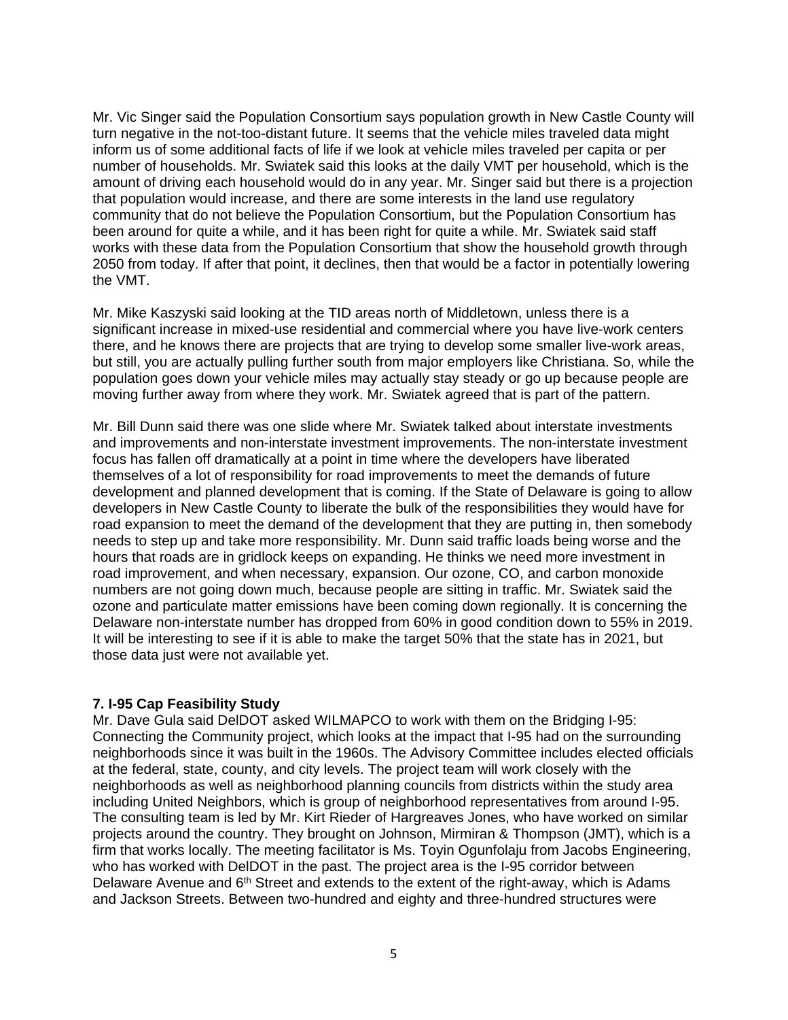Mr. Vic Singer said the Population Consortium says population growth in New Castle County will turn negative in the not-too-distant future. It seems that the vehicle miles traveled data might inform us of some additional facts of life if we look at vehicle miles traveled per capita or per number of households. Mr. Swiatek said this looks at the daily VMT per household, which is the amount of driving each household would do in any year. Mr. Singer said but there is a projection that population would increase, and there are some interests in the land use regulatory community that do not believe the Population Consortium, but the Population Consortium has been around for quite a while, and it has been right for quite a while. Mr. Swiatek said staff works with these data from the Population Consortium that show the household growth through 2050 from today. If after that point, it declines, then that would be a factor in potentially lowering the VMT.

Mr. Mike Kaszyski said looking at the TID areas north of Middletown, unless there is a significant increase in mixed-use residential and commercial where you have live-work centers there, and he knows there are projects that are trying to develop some smaller live-work areas, but still, you are actually pulling further south from major employers like Christiana. So, while the population goes down your vehicle miles may actually stay steady or go up because people are moving further away from where they work. Mr. Swiatek agreed that is part of the pattern.

Mr. Bill Dunn said there was one slide where Mr. Swiatek talked about interstate investments and improvements and non-interstate investment improvements. The non-interstate investment focus has fallen off dramatically at a point in time where the developers have liberated themselves of a lot of responsibility for road improvements to meet the demands of future development and planned development that is coming. If the State of Delaware is going to allow developers in New Castle County to liberate the bulk of the responsibilities they would have for road expansion to meet the demand of the development that they are putting in, then somebody needs to step up and take more responsibility. Mr. Dunn said traffic loads being worse and the hours that roads are in gridlock keeps on expanding. He thinks we need more investment in road improvement, and when necessary, expansion. Our ozone, CO, and carbon monoxide numbers are not going down much, because people are sitting in traffic. Mr. Swiatek said the ozone and particulate matter emissions have been coming down regionally. It is concerning the Delaware non-interstate number has dropped from 60% in good condition down to 55% in 2019. It will be interesting to see if it is able to make the target 50% that the state has in 2021, but those data just were not available yet.

## **7. I-95 Cap Feasibility Study**

Mr. Dave Gula said DelDOT asked WILMAPCO to work with them on the Bridging I-95: Connecting the Community project, which looks at the impact that I-95 had on the surrounding neighborhoods since it was built in the 1960s. The Advisory Committee includes elected officials at the federal, state, county, and city levels. The project team will work closely with the neighborhoods as well as neighborhood planning councils from districts within the study area including United Neighbors, which is group of neighborhood representatives from around I-95. The consulting team is led by Mr. Kirt Rieder of Hargreaves Jones, who have worked on similar projects around the country. They brought on Johnson, Mirmiran & Thompson (JMT), which is a firm that works locally. The meeting facilitator is Ms. Toyin Ogunfolaju from Jacobs Engineering, who has worked with DelDOT in the past. The project area is the I-95 corridor between Delaware Avenue and  $6<sup>th</sup>$  Street and extends to the extent of the right-away, which is Adams and Jackson Streets. Between two-hundred and eighty and three-hundred structures were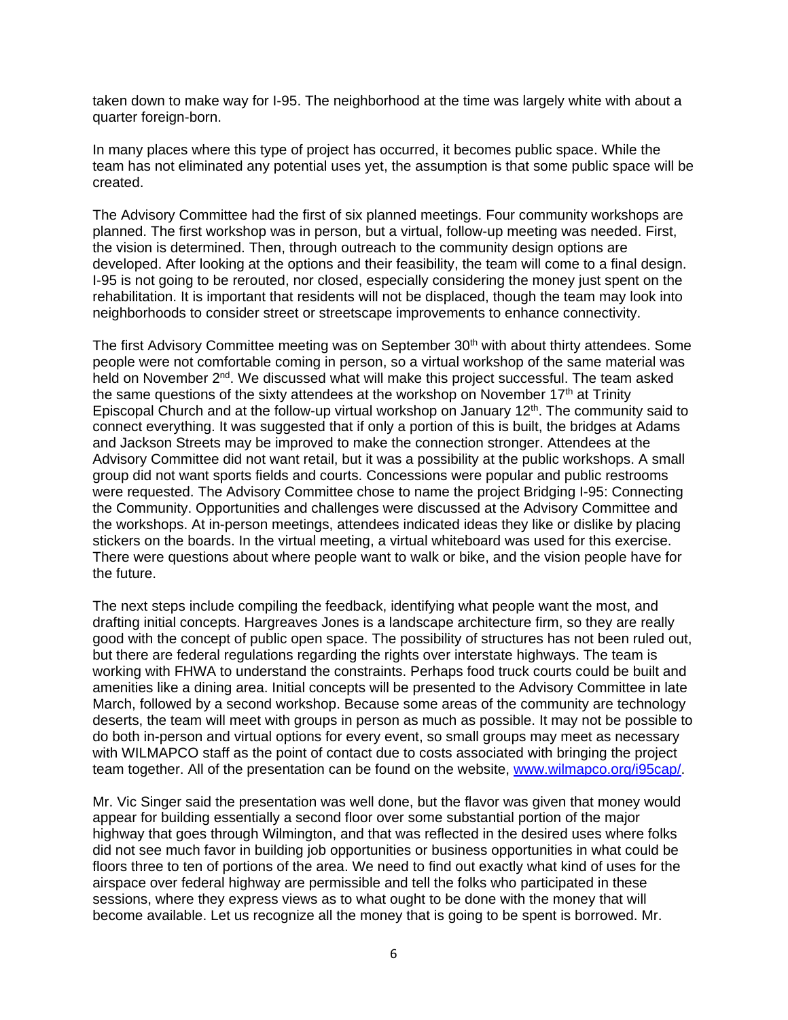taken down to make way for I-95. The neighborhood at the time was largely white with about a quarter foreign-born.

In many places where this type of project has occurred, it becomes public space. While the team has not eliminated any potential uses yet, the assumption is that some public space will be created.

The Advisory Committee had the first of six planned meetings. Four community workshops are planned. The first workshop was in person, but a virtual, follow-up meeting was needed. First, the vision is determined. Then, through outreach to the community design options are developed. After looking at the options and their feasibility, the team will come to a final design. I-95 is not going to be rerouted, nor closed, especially considering the money just spent on the rehabilitation. It is important that residents will not be displaced, though the team may look into neighborhoods to consider street or streetscape improvements to enhance connectivity.

The first Advisory Committee meeting was on September 30<sup>th</sup> with about thirty attendees. Some people were not comfortable coming in person, so a virtual workshop of the same material was held on November 2<sup>nd</sup>. We discussed what will make this project successful. The team asked the same questions of the sixty attendees at the workshop on November  $17<sup>th</sup>$  at Trinity Episcopal Church and at the follow-up virtual workshop on January  $12<sup>th</sup>$ . The community said to connect everything. It was suggested that if only a portion of this is built, the bridges at Adams and Jackson Streets may be improved to make the connection stronger. Attendees at the Advisory Committee did not want retail, but it was a possibility at the public workshops. A small group did not want sports fields and courts. Concessions were popular and public restrooms were requested. The Advisory Committee chose to name the project Bridging I-95: Connecting the Community. Opportunities and challenges were discussed at the Advisory Committee and the workshops. At in-person meetings, attendees indicated ideas they like or dislike by placing stickers on the boards. In the virtual meeting, a virtual whiteboard was used for this exercise. There were questions about where people want to walk or bike, and the vision people have for the future.

The next steps include compiling the feedback, identifying what people want the most, and drafting initial concepts. Hargreaves Jones is a landscape architecture firm, so they are really good with the concept of public open space. The possibility of structures has not been ruled out, but there are federal regulations regarding the rights over interstate highways. The team is working with FHWA to understand the constraints. Perhaps food truck courts could be built and amenities like a dining area. Initial concepts will be presented to the Advisory Committee in late March, followed by a second workshop. Because some areas of the community are technology deserts, the team will meet with groups in person as much as possible. It may not be possible to do both in-person and virtual options for every event, so small groups may meet as necessary with WILMAPCO staff as the point of contact due to costs associated with bringing the project team together. All of the presentation can be found on the website, www.wilmapco.org/i95cap/.

Mr. Vic Singer said the presentation was well done, but the flavor was given that money would appear for building essentially a second floor over some substantial portion of the major highway that goes through Wilmington, and that was reflected in the desired uses where folks did not see much favor in building job opportunities or business opportunities in what could be floors three to ten of portions of the area. We need to find out exactly what kind of uses for the airspace over federal highway are permissible and tell the folks who participated in these sessions, where they express views as to what ought to be done with the money that will become available. Let us recognize all the money that is going to be spent is borrowed. Mr.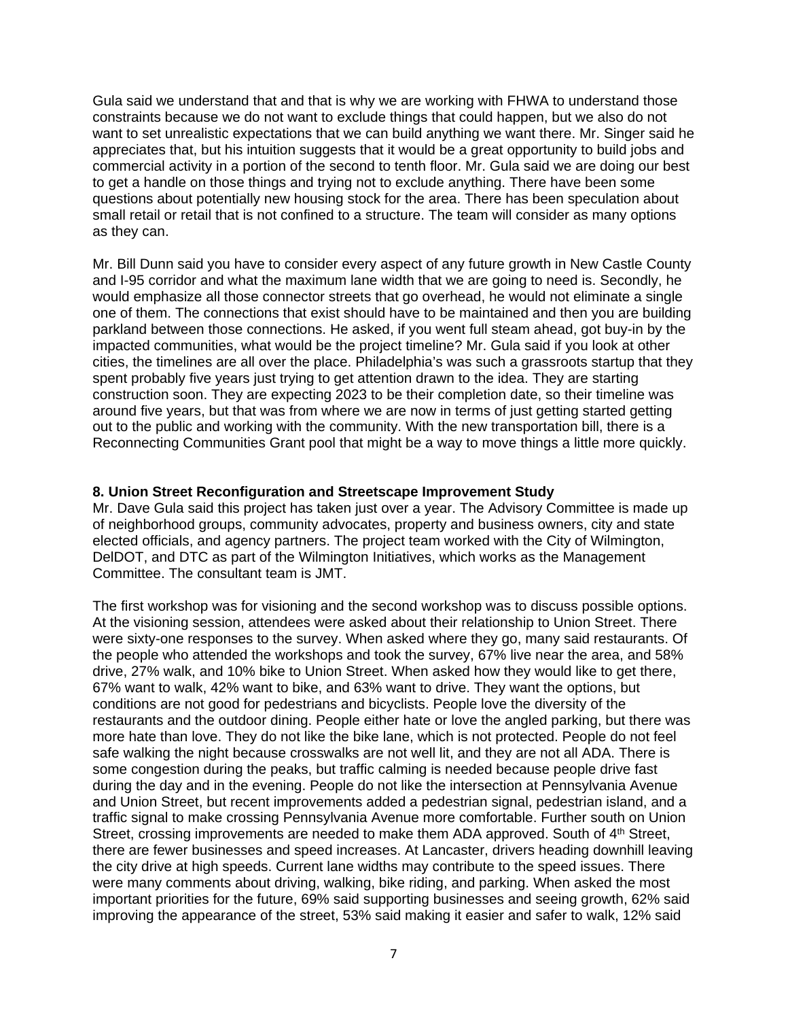Gula said we understand that and that is why we are working with FHWA to understand those constraints because we do not want to exclude things that could happen, but we also do not want to set unrealistic expectations that we can build anything we want there. Mr. Singer said he appreciates that, but his intuition suggests that it would be a great opportunity to build jobs and commercial activity in a portion of the second to tenth floor. Mr. Gula said we are doing our best to get a handle on those things and trying not to exclude anything. There have been some questions about potentially new housing stock for the area. There has been speculation about small retail or retail that is not confined to a structure. The team will consider as many options as they can.

Mr. Bill Dunn said you have to consider every aspect of any future growth in New Castle County and I-95 corridor and what the maximum lane width that we are going to need is. Secondly, he would emphasize all those connector streets that go overhead, he would not eliminate a single one of them. The connections that exist should have to be maintained and then you are building parkland between those connections. He asked, if you went full steam ahead, got buy-in by the impacted communities, what would be the project timeline? Mr. Gula said if you look at other cities, the timelines are all over the place. Philadelphia's was such a grassroots startup that they spent probably five years just trying to get attention drawn to the idea. They are starting construction soon. They are expecting 2023 to be their completion date, so their timeline was around five years, but that was from where we are now in terms of just getting started getting out to the public and working with the community. With the new transportation bill, there is a Reconnecting Communities Grant pool that might be a way to move things a little more quickly.

### **8. Union Street Reconfiguration and Streetscape Improvement Study**

Mr. Dave Gula said this project has taken just over a year. The Advisory Committee is made up of neighborhood groups, community advocates, property and business owners, city and state elected officials, and agency partners. The project team worked with the City of Wilmington, DelDOT, and DTC as part of the Wilmington Initiatives, which works as the Management Committee. The consultant team is JMT.

The first workshop was for visioning and the second workshop was to discuss possible options. At the visioning session, attendees were asked about their relationship to Union Street. There were sixty-one responses to the survey. When asked where they go, many said restaurants. Of the people who attended the workshops and took the survey, 67% live near the area, and 58% drive, 27% walk, and 10% bike to Union Street. When asked how they would like to get there, 67% want to walk, 42% want to bike, and 63% want to drive. They want the options, but conditions are not good for pedestrians and bicyclists. People love the diversity of the restaurants and the outdoor dining. People either hate or love the angled parking, but there was more hate than love. They do not like the bike lane, which is not protected. People do not feel safe walking the night because crosswalks are not well lit, and they are not all ADA. There is some congestion during the peaks, but traffic calming is needed because people drive fast during the day and in the evening. People do not like the intersection at Pennsylvania Avenue and Union Street, but recent improvements added a pedestrian signal, pedestrian island, and a traffic signal to make crossing Pennsylvania Avenue more comfortable. Further south on Union Street, crossing improvements are needed to make them ADA approved. South of  $4<sup>th</sup>$  Street, there are fewer businesses and speed increases. At Lancaster, drivers heading downhill leaving the city drive at high speeds. Current lane widths may contribute to the speed issues. There were many comments about driving, walking, bike riding, and parking. When asked the most important priorities for the future, 69% said supporting businesses and seeing growth, 62% said improving the appearance of the street, 53% said making it easier and safer to walk, 12% said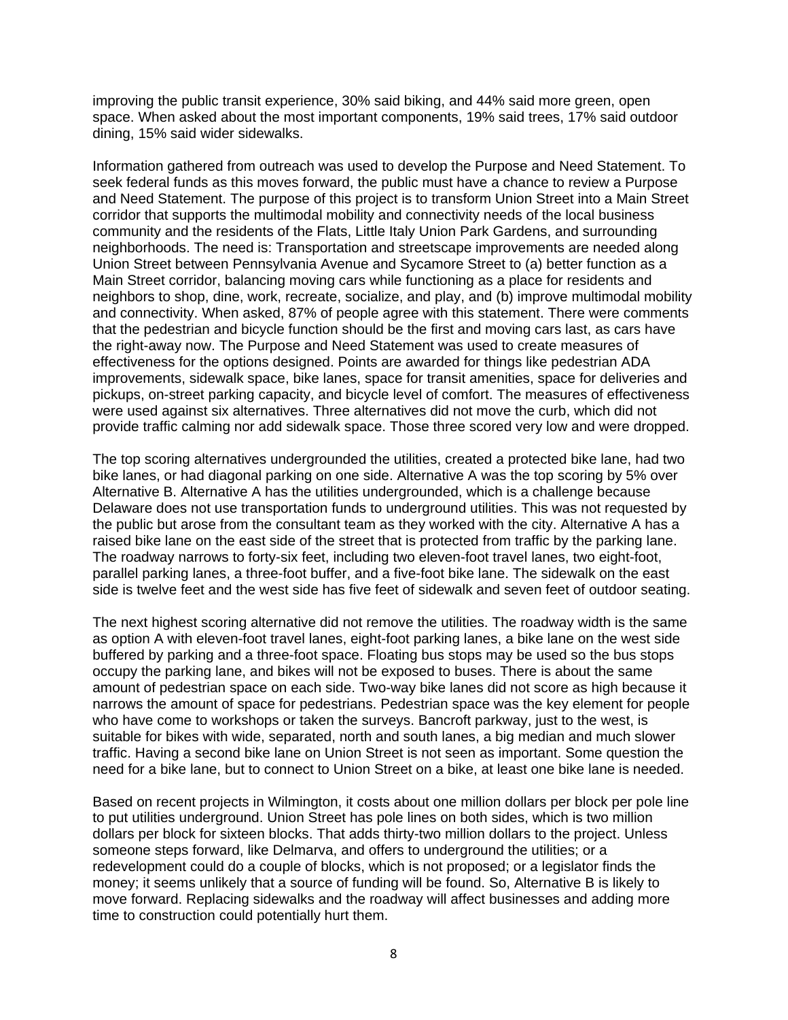improving the public transit experience, 30% said biking, and 44% said more green, open space. When asked about the most important components, 19% said trees, 17% said outdoor dining, 15% said wider sidewalks.

Information gathered from outreach was used to develop the Purpose and Need Statement. To seek federal funds as this moves forward, the public must have a chance to review a Purpose and Need Statement. The purpose of this project is to transform Union Street into a Main Street corridor that supports the multimodal mobility and connectivity needs of the local business community and the residents of the Flats, Little Italy Union Park Gardens, and surrounding neighborhoods. The need is: Transportation and streetscape improvements are needed along Union Street between Pennsylvania Avenue and Sycamore Street to (a) better function as a Main Street corridor, balancing moving cars while functioning as a place for residents and neighbors to shop, dine, work, recreate, socialize, and play, and (b) improve multimodal mobility and connectivity. When asked, 87% of people agree with this statement. There were comments that the pedestrian and bicycle function should be the first and moving cars last, as cars have the right-away now. The Purpose and Need Statement was used to create measures of effectiveness for the options designed. Points are awarded for things like pedestrian ADA improvements, sidewalk space, bike lanes, space for transit amenities, space for deliveries and pickups, on-street parking capacity, and bicycle level of comfort. The measures of effectiveness were used against six alternatives. Three alternatives did not move the curb, which did not provide traffic calming nor add sidewalk space. Those three scored very low and were dropped.

The top scoring alternatives undergrounded the utilities, created a protected bike lane, had two bike lanes, or had diagonal parking on one side. Alternative A was the top scoring by 5% over Alternative B. Alternative A has the utilities undergrounded, which is a challenge because Delaware does not use transportation funds to underground utilities. This was not requested by the public but arose from the consultant team as they worked with the city. Alternative A has a raised bike lane on the east side of the street that is protected from traffic by the parking lane. The roadway narrows to forty-six feet, including two eleven-foot travel lanes, two eight-foot, parallel parking lanes, a three-foot buffer, and a five-foot bike lane. The sidewalk on the east side is twelve feet and the west side has five feet of sidewalk and seven feet of outdoor seating.

The next highest scoring alternative did not remove the utilities. The roadway width is the same as option A with eleven-foot travel lanes, eight-foot parking lanes, a bike lane on the west side buffered by parking and a three-foot space. Floating bus stops may be used so the bus stops occupy the parking lane, and bikes will not be exposed to buses. There is about the same amount of pedestrian space on each side. Two-way bike lanes did not score as high because it narrows the amount of space for pedestrians. Pedestrian space was the key element for people who have come to workshops or taken the surveys. Bancroft parkway, just to the west, is suitable for bikes with wide, separated, north and south lanes, a big median and much slower traffic. Having a second bike lane on Union Street is not seen as important. Some question the need for a bike lane, but to connect to Union Street on a bike, at least one bike lane is needed.

Based on recent projects in Wilmington, it costs about one million dollars per block per pole line to put utilities underground. Union Street has pole lines on both sides, which is two million dollars per block for sixteen blocks. That adds thirty-two million dollars to the project. Unless someone steps forward, like Delmarva, and offers to underground the utilities; or a redevelopment could do a couple of blocks, which is not proposed; or a legislator finds the money; it seems unlikely that a source of funding will be found. So, Alternative B is likely to move forward. Replacing sidewalks and the roadway will affect businesses and adding more time to construction could potentially hurt them.